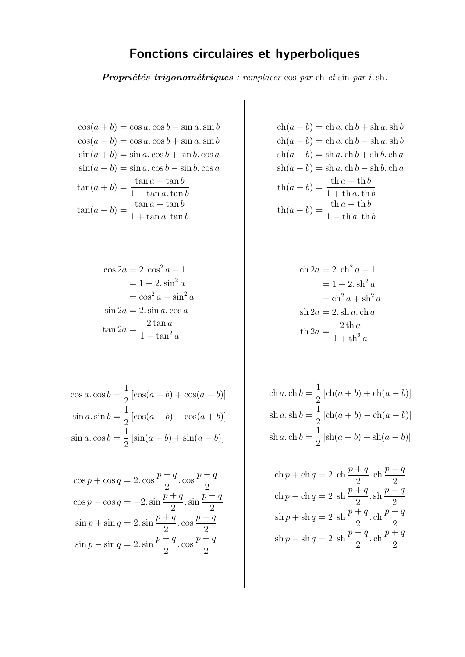## Fonctions circulaires et hyperboliques

**Propriétés trigonométriques** : remplacer cos par ch et sin par i.sh.

 $\cos(a + b) = \cos a \cdot \cos b - \sin a \cdot \sin b$  $\cos(a - b) = \cos a \cdot \cos b + \sin a \cdot \sin b$  $\sin(a + b) = \sin a \cdot \cos b + \sin b \cdot \cos a$  $\sin(a - b) = \sin a \cdot \cos b - \sin b \cdot \cos a$  $\tan(a+b) = \frac{\tan a + \tan b}{1}$  $1 - \tan a \cdot \tan b$  $\tan(a-b) = \frac{\tan a - \tan b}{1 + \tan b}$  $1 + \tan a \cdot \tan b$ 

$$
\cos 2a = 2 \cdot \cos^2 a - 1
$$

$$
= 1 - 2 \cdot \sin^2 a
$$

$$
= \cos^2 a - \sin^2 a
$$

$$
\sin 2a = 2 \cdot \sin a \cdot \cos a
$$

$$
\tan 2a = \frac{2 \tan a}{1 - \tan^2 a}
$$

$$
\cos a. \cos b = \frac{1}{2} [\cos(a+b) + \cos(a-b)]
$$
  

$$
\sin a. \sin b = \frac{1}{2} [\cos(a-b) - \cos(a+b)]
$$
  

$$
\sin a. \cos b = \frac{1}{2} [\sin(a+b) + \sin(a-b)]
$$

$$
\cos p + \cos q = 2. \cos \frac{p+q}{2} \cdot \cos \frac{p-q}{2}
$$

$$
\cos p - \cos q = -2. \sin \frac{p+q}{2} \cdot \sin \frac{p-q}{2}
$$

$$
\sin p + \sin q = 2. \sin \frac{p+q}{2} \cdot \cos \frac{p-q}{2}
$$

$$
\sin p - \sin q = 2. \sin \frac{p-q}{2} \cdot \cos \frac{p+q}{2}
$$

 $ch(a + b) = ch a. ch b + sh a. sh b$  $ch(a - b) = ch a. ch b - sh a. sh b$  $sh(a + b) = sh a. ch b + sh b. ch a$  $sh(a - b) = sh a. ch b - sh b. ch a$  $\operatorname{th}(a+b) = \frac{\operatorname{th} a + \operatorname{th} b}{1 + \operatorname{th} a + \operatorname{th} b}$  $1 + \text{th } a \cdot \text{th } b$  $\operatorname{th}(a - b) = \frac{\operatorname{th} a - \operatorname{th} b}{1 - \operatorname{th} a}$  $1 - \text{th } a \cdot \text{th } b$ 

ch 2a = 2. ch<sup>2</sup> a - 1  
\n= 1 + 2. sh<sup>2</sup> a  
\n= ch<sup>2</sup> a + sh<sup>2</sup> a  
\nsh 2a = 2. sh a. ch a  
\nth 2a = 
$$
\frac{2 \text{ th } a}{1 + \text{ th}^2 a}
$$

ch 
$$
a
$$
. ch  $b = \frac{1}{2} [\text{ch}(a + b) + \text{ch}(a - b)]$   
sh  $a$ . sh  $b = \frac{1}{2} [\text{ch}(a + b) - \text{ch}(a - b)]$   
sh  $a$ . ch  $b = \frac{1}{2} [\text{sh}(a + b) + \text{sh}(a - b)]$ 

ch 
$$
p +
$$
ch  $q = 2$ . ch  $\frac{p+q}{2}$ . ch  $\frac{p-q}{2}$   
ch  $p -$ ch  $q = 2$ . sh  $\frac{p+q}{2}$ . sh  $\frac{p-q}{2}$   
sh  $p +$ sh  $q = 2$ . sh  $\frac{p+q}{2}$ . ch  $\frac{p-q}{2}$   
sh  $p -$ sh  $q = 2$ . sh  $\frac{p-q}{2}$ . ch  $\frac{p+q}{2}$